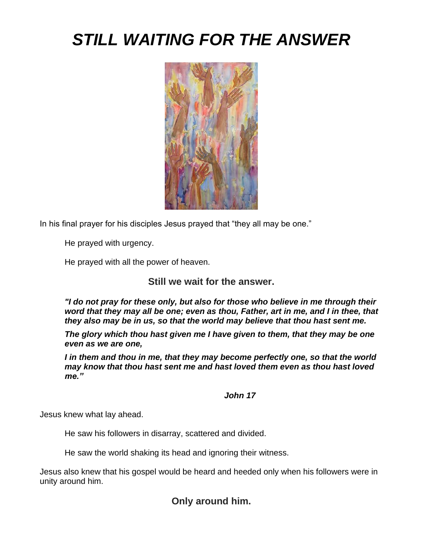# *STILL WAITING FOR THE ANSWER*



In his final prayer for his disciples Jesus prayed that "they all may be one."

He prayed with urgency.

He prayed with all the power of heaven.

**Still we wait for the answer.**

*"I do not pray for these only, but also for those who believe in me through their word that they may all be one; even as thou, Father, art in me, and I in thee, that they also may be in us, so that the world may believe that thou hast sent me.*

*The glory which thou hast given me I have given to them, that they may be one even as we are one,*

*I in them and thou in me, that they may become perfectly one, so that the world may know that thou hast sent me and hast loved them even as thou hast loved me."*

#### *John 17*

Jesus knew what lay ahead.

He saw his followers in disarray, scattered and divided.

He saw the world shaking its head and ignoring their witness.

Jesus also knew that his gospel would be heard and heeded only when his followers were in unity around him.

## **Only around him.**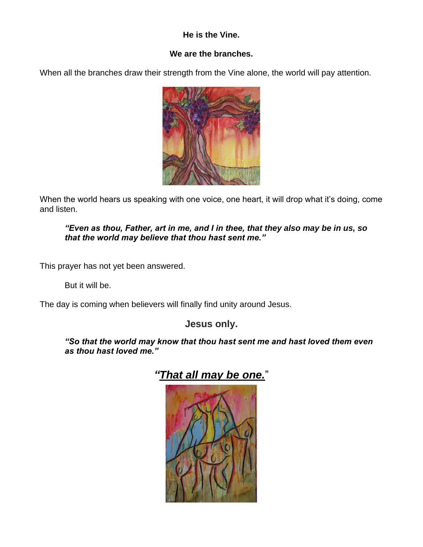#### **He is the Vine.**

#### **We are the branches.**

When all the branches draw their strength from the Vine alone, the world will pay attention.



When the world hears us speaking with one voice, one heart, it will drop what it's doing, come and listen.

#### *"Even as thou, Father, art in me, and I in thee, that they also may be in us, so that the world may believe that thou hast sent me."*

This prayer has not yet been answered.

But it will be.

The day is coming when believers will finally find unity around Jesus.

## **Jesus only.**

*"So that the world may know that thou hast sent me and hast loved them even as thou hast loved me."*



# *"That all may be one.*"